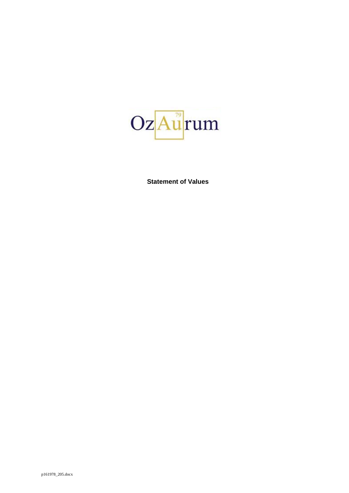

**Statement of Values**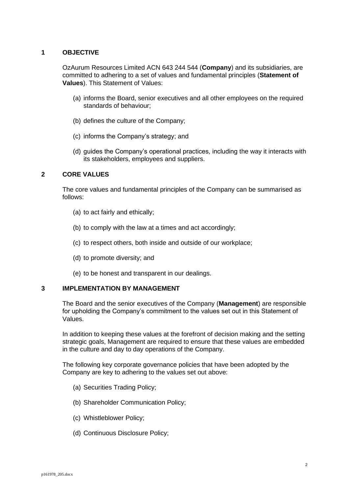# **1 OBJECTIVE**

OzAurum Resources Limited ACN 643 244 544 (**Company**) and its subsidiaries, are committed to adhering to a set of values and fundamental principles (**Statement of Values**). This Statement of Values:

- (a) informs the Board, senior executives and all other employees on the required standards of behaviour;
- (b) defines the culture of the Company;
- (c) informs the Company's strategy; and
- (d) guides the Company's operational practices, including the way it interacts with its stakeholders, employees and suppliers.

## **2 CORE VALUES**

The core values and fundamental principles of the Company can be summarised as follows:

- (a) to act fairly and ethically;
- (b) to comply with the law at a times and act accordingly;
- (c) to respect others, both inside and outside of our workplace;
- (d) to promote diversity; and
- (e) to be honest and transparent in our dealings.

## **3 IMPLEMENTATION BY MANAGEMENT**

The Board and the senior executives of the Company (**Management**) are responsible for upholding the Company's commitment to the values set out in this Statement of Values.

In addition to keeping these values at the forefront of decision making and the setting strategic goals, Management are required to ensure that these values are embedded in the culture and day to day operations of the Company.

The following key corporate governance policies that have been adopted by the Company are key to adhering to the values set out above:

- (a) Securities Trading Policy;
- (b) Shareholder Communication Policy;
- (c) Whistleblower Policy;
- (d) Continuous Disclosure Policy;